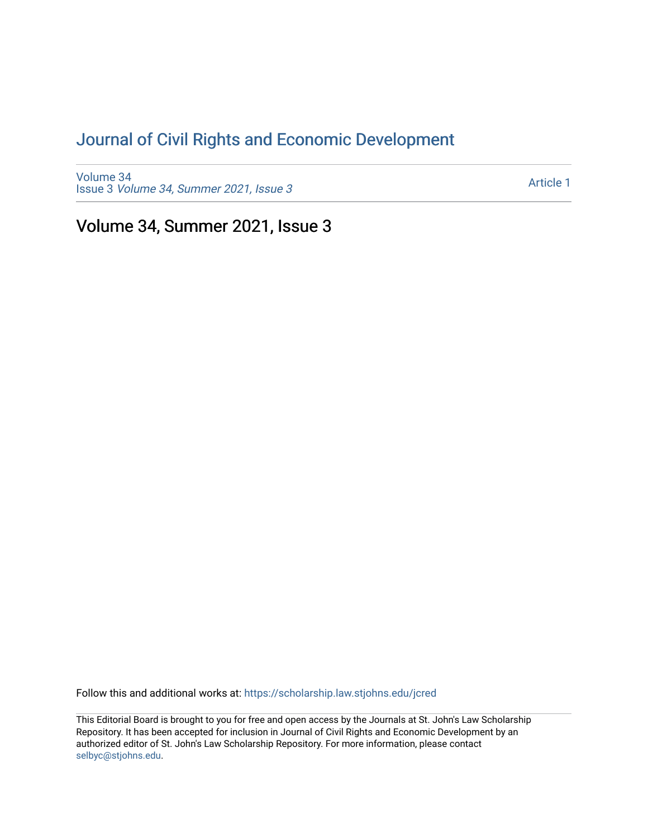## [Journal of Civil Rights and Economic Development](https://scholarship.law.stjohns.edu/jcred)

[Volume 34](https://scholarship.law.stjohns.edu/jcred/vol34) Issue 3 [Volume 34, Summer 2021, Issue 3](https://scholarship.law.stjohns.edu/jcred/vol34/iss3) 

[Article 1](https://scholarship.law.stjohns.edu/jcred/vol34/iss3/1) 

Volume 34, Summer 2021, Issue 3

Follow this and additional works at: [https://scholarship.law.stjohns.edu/jcred](https://scholarship.law.stjohns.edu/jcred?utm_source=scholarship.law.stjohns.edu%2Fjcred%2Fvol34%2Fiss3%2F1&utm_medium=PDF&utm_campaign=PDFCoverPages) 

This Editorial Board is brought to you for free and open access by the Journals at St. John's Law Scholarship Repository. It has been accepted for inclusion in Journal of Civil Rights and Economic Development by an authorized editor of St. John's Law Scholarship Repository. For more information, please contact [selbyc@stjohns.edu](mailto:selbyc@stjohns.edu).